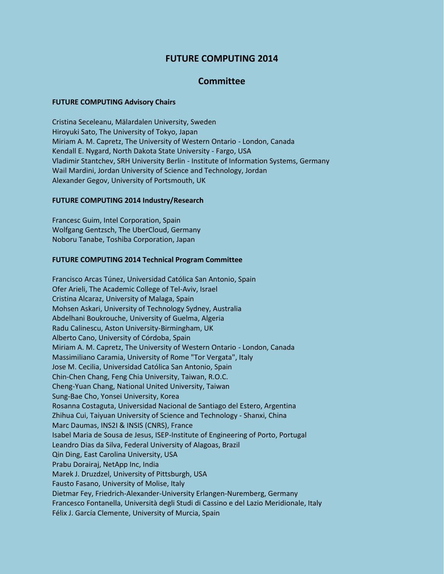# **FUTURE COMPUTING 2014**

# **Committee**

#### **FUTURE COMPUTING Advisory Chairs**

Cristina Seceleanu, Mälardalen University, Sweden Hiroyuki Sato, The University of Tokyo, Japan Miriam A. M. Capretz, The University of Western Ontario - London, Canada Kendall E. Nygard, North Dakota State University - Fargo, USA Vladimir Stantchev, SRH University Berlin - Institute of Information Systems, Germany Wail Mardini, Jordan University of Science and Technology, Jordan Alexander Gegov, University of Portsmouth, UK

## **FUTURE COMPUTING 2014 Industry/Research**

Francesc Guim, Intel Corporation, Spain Wolfgang Gentzsch, The UberCloud, Germany Noboru Tanabe, Toshiba Corporation, Japan

## **FUTURE COMPUTING 2014 Technical Program Committee**

Francisco Arcas Túnez, Universidad Católica San Antonio, Spain Ofer Arieli, The Academic College of Tel-Aviv, Israel Cristina Alcaraz, University of Malaga, Spain Mohsen Askari, University of Technology Sydney, Australia Abdelhani Boukrouche, University of Guelma, Algeria Radu Calinescu, Aston University-Birmingham, UK Alberto Cano, University of Córdoba, Spain Miriam A. M. Capretz, The University of Western Ontario - London, Canada Massimiliano Caramia, University of Rome "Tor Vergata", Italy Jose M. Cecilia, Universidad Católica San Antonio, Spain Chin-Chen Chang, Feng Chia University, Taiwan, R.O.C. Cheng-Yuan Chang, National United University, Taiwan Sung-Bae Cho, Yonsei University, Korea Rosanna Costaguta, Universidad Nacional de Santiago del Estero, Argentina Zhihua Cui, Taiyuan University of Science and Technology - Shanxi, China Marc Daumas, INS2I & INSIS (CNRS), France Isabel Maria de Sousa de Jesus, ISEP-Institute of Engineering of Porto, Portugal Leandro Dias da Silva, Federal University of Alagoas, Brazil Qin Ding, East Carolina University, USA Prabu Dorairaj, NetApp Inc, India Marek J. Druzdzel, University of Pittsburgh, USA Fausto Fasano, University of Molise, Italy Dietmar Fey, Friedrich-Alexander-University Erlangen-Nuremberg, Germany Francesco Fontanella, Università degli Studi di Cassino e del Lazio Meridionale, Italy Félix J. García Clemente, University of Murcia, Spain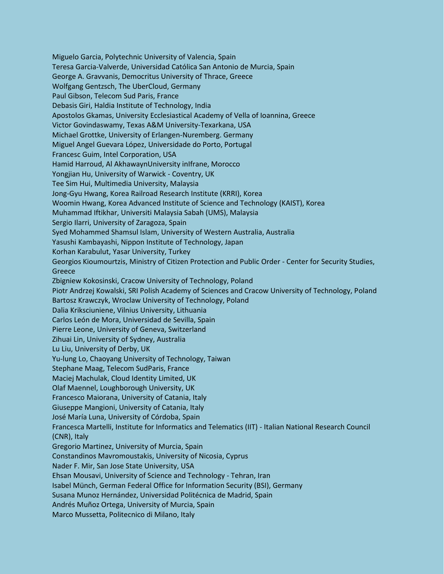Miguelo Garcia, Polytechnic University of Valencia, Spain Teresa Garcia-Valverde, Universidad Católica San Antonio de Murcia, Spain George A. Gravvanis, Democritus University of Thrace, Greece Wolfgang Gentzsch, The UberCloud, Germany Paul Gibson, Telecom Sud Paris, France Debasis Giri, Haldia Institute of Technology, India Apostolos Gkamas, University Ecclesiastical Academy of Vella of Ioannina, Greece Victor Govindaswamy, Texas A&M University-Texarkana, USA Michael Grottke, University of Erlangen-Nuremberg. Germany Miguel Angel Guevara López, Universidade do Porto, Portugal Francesc Guim, Intel Corporation, USA Hamid Harroud, Al AkhawaynUniversity inIfrane, Morocco Yongjian Hu, University of Warwick - Coventry, UK Tee Sim Hui, Multimedia University, Malaysia Jong-Gyu Hwang, Korea Railroad Research Institute (KRRI), Korea Woomin Hwang, Korea Advanced Institute of Science and Technology (KAIST), Korea Muhammad Iftikhar, Universiti Malaysia Sabah (UMS), Malaysia Sergio Ilarri, University of Zaragoza, Spain Syed Mohammed Shamsul Islam, University of Western Australia, Australia Yasushi Kambayashi, Nippon Institute of Technology, Japan Korhan Karabulut, Yasar University, Turkey Georgios Kioumourtzis, Ministry of Citizen Protection and Public Order - Center for Security Studies, Greece Zbigniew Kokosinski, Cracow University of Technology, Poland Piotr Andrzej Kowalski, SRI Polish Academy of Sciences and Cracow University of Technology, Poland Bartosz Krawczyk, Wroclaw University of Technology, Poland Dalia Kriksciuniene, Vilnius University, Lithuania Carlos León de Mora, Universidad de Sevilla, Spain Pierre Leone, University of Geneva, Switzerland Zihuai Lin, University of Sydney, Australia Lu Liu, University of Derby, UK Yu-lung Lo, Chaoyang University of Technology, Taiwan Stephane Maag, Telecom SudParis, France Maciej Machulak, Cloud Identity Limited, UK Olaf Maennel, Loughborough University, UK Francesco Maiorana, University of Catania, Italy Giuseppe Mangioni, University of Catania, Italy José María Luna, University of Córdoba, Spain Francesca Martelli, Institute for Informatics and Telematics (IIT) - Italian National Research Council (CNR), Italy Gregorio Martinez, University of Murcia, Spain Constandinos Mavromoustakis, University of Nicosia, Cyprus Nader F. Mir, San Jose State University, USA Ehsan Mousavi, University of Science and Technology - Tehran, Iran Isabel Münch, German Federal Office for Information Security (BSI), Germany Susana Munoz Hernández, Universidad Politécnica de Madrid, Spain Andrés Muñoz Ortega, University of Murcia, Spain Marco Mussetta, Politecnico di Milano, Italy